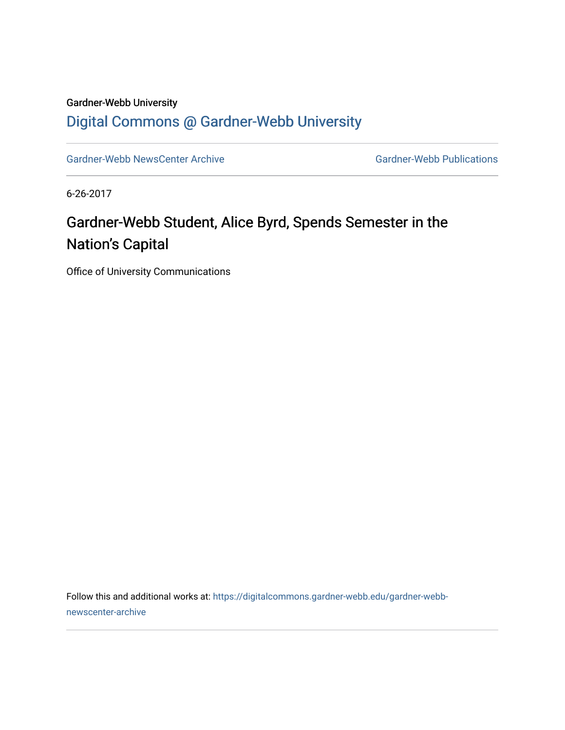## Gardner-Webb University [Digital Commons @ Gardner-Webb University](https://digitalcommons.gardner-webb.edu/)

[Gardner-Webb NewsCenter Archive](https://digitalcommons.gardner-webb.edu/gardner-webb-newscenter-archive) Gardner-Webb Publications

6-26-2017

## Gardner-Webb Student, Alice Byrd, Spends Semester in the Nation's Capital

Office of University Communications

Follow this and additional works at: [https://digitalcommons.gardner-webb.edu/gardner-webb](https://digitalcommons.gardner-webb.edu/gardner-webb-newscenter-archive?utm_source=digitalcommons.gardner-webb.edu%2Fgardner-webb-newscenter-archive%2F620&utm_medium=PDF&utm_campaign=PDFCoverPages)[newscenter-archive](https://digitalcommons.gardner-webb.edu/gardner-webb-newscenter-archive?utm_source=digitalcommons.gardner-webb.edu%2Fgardner-webb-newscenter-archive%2F620&utm_medium=PDF&utm_campaign=PDFCoverPages)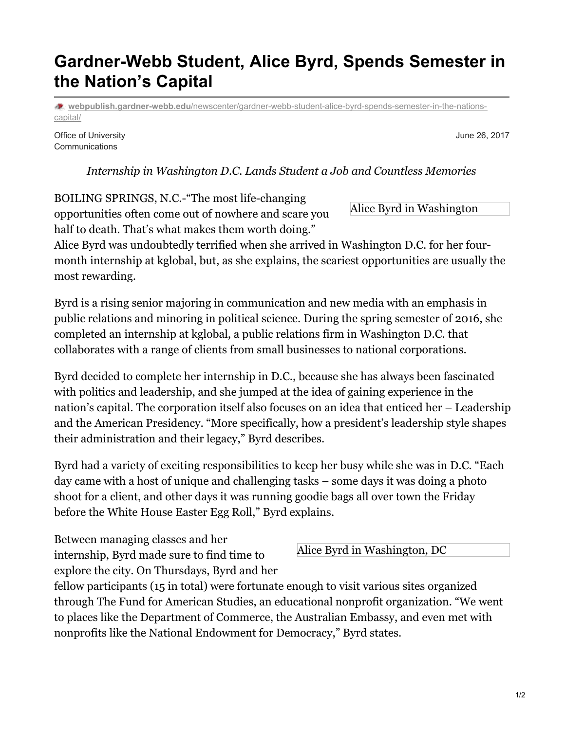## **Gardner-Webb Student, Alice Byrd, Spends Semester in the Nation's Capital**

**webpublish.gardner-webb.edu**[/newscenter/gardner-webb-student-alice-byrd-spends-semester-in-the-nations](https://webpublish.gardner-webb.edu/newscenter/gardner-webb-student-alice-byrd-spends-semester-in-the-nations-capital/)capital/

Office of University **Communications** 

*Internship in Washington D.C. Lands Student a Job and Countless Memories*

BOILING SPRINGS, N.C.-"The most life-changing opportunities often come out of nowhere and scare you half to death. That's what makes them worth doing."

Alice Byrd was undoubtedly terrified when she arrived in Washington D.C. for her fourmonth internship at kglobal, but, as she explains, the scariest opportunities are usually the most rewarding.

Byrd is a rising senior majoring in communication and new media with an emphasis in public relations and minoring in political science. During the spring semester of 2016, she completed an internship at kglobal, a public relations firm in Washington D.C. that collaborates with a range of clients from small businesses to national corporations.

Byrd decided to complete her internship in D.C., because she has always been fascinated with politics and leadership, and she jumped at the idea of gaining experience in the nation's capital. The corporation itself also focuses on an idea that enticed her – Leadership and the American Presidency. "More specifically, how a president's leadership style shapes their administration and their legacy," Byrd describes.

Byrd had a variety of exciting responsibilities to keep her busy while she was in D.C. "Each day came with a host of unique and challenging tasks – some days it was doing a photo shoot for a client, and other days it was running goodie bags all over town the Friday before the White House Easter Egg Roll," Byrd explains.

Between managing classes and her internship, Byrd made sure to find time to explore the city. On Thursdays, Byrd and her

fellow participants (15 in total) were fortunate enough to visit various sites organized through The Fund for American Studies, an educational nonprofit organization. "We went to places like the Department of Commerce, the Australian Embassy, and even met with

nonprofits like the National Endowment for Democracy," Byrd states.

Alice Byrd in Washington, DC

Alice Byrd in Washington

June 26, 2017